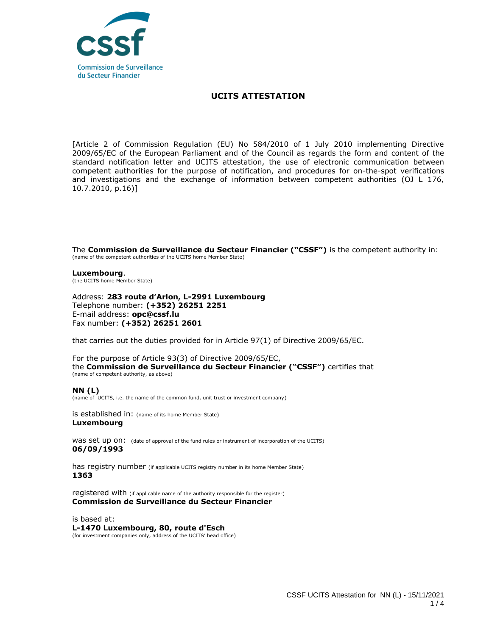

## **UCITS ATTESTATION**

[Article 2 of Commission Regulation (EU) No 584/2010 of 1 July 2010 implementing Directive 2009/65/EC of the European Parliament and of the Council as regards the form and content of the standard notification letter and UCITS attestation, the use of electronic communication between competent authorities for the purpose of notification, and procedures for on-the-spot verifications and investigations and the exchange of information between competent authorities (OJ L 176, 10.7.2010, p.16)]

The **Commission de Surveillance du Secteur Financier ("CSSF")** is the competent authority in: (name of the competent authorities of the UCITS home Member State)

**Luxembourg**. (the UCITS home Member State)

Address: **283 route d'Arlon, L-2991 Luxembourg** Telephone number: **(+352) 26251 2251**  E-mail address: **opc@cssf.lu** Fax number: **(+352) 26251 2601**

that carries out the duties provided for in Article 97(1) of Directive 2009/65/EC.

For the purpose of Article 93(3) of Directive 2009/65/EC, the **Commission de Surveillance du Secteur Financier ("CSSF")** certifies that (name of competent authority, as above)

**NN (L)**

(name of UCITS, i.e. the name of the common fund, unit trust or investment company)

is established in: (name of its home Member State) **Luxembourg**

WAS Set up ON: (date of approval of the fund rules or instrument of incorporation of the UCITS) **06/09/1993**

has registry number (if applicable UCITS registry number in its home Member State) **1363**

registered with (if applicable name of the authority responsible for the register) **Commission de Surveillance du Secteur Financier**

is based at: **L-1470 Luxembourg, 80, route d'Esch** (for investment companies only, address of the UCITS' head office)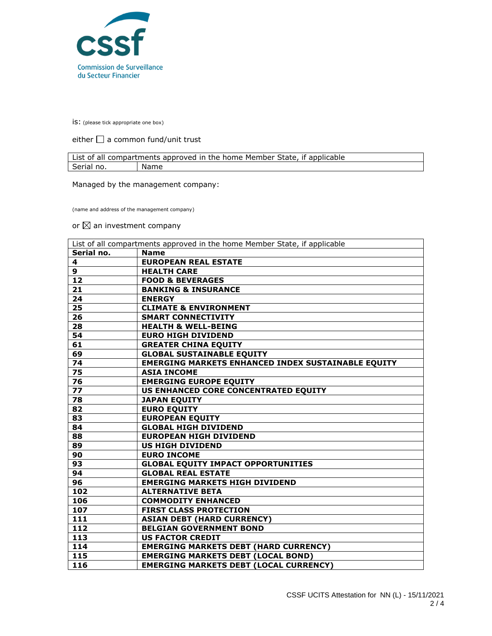

is: (please tick appropriate one box)

either  $\Box$  a common fund/unit trust

| List of all compartments approved in the home Member State, if applicable |      |  |
|---------------------------------------------------------------------------|------|--|
| Serial no.                                                                | Name |  |

Managed by the management company:

(name and address of the management company)

or  $\boxtimes$  an investment company

| List of all compartments approved in the home Member State, if applicable |                                                           |
|---------------------------------------------------------------------------|-----------------------------------------------------------|
| Serial no.                                                                | <b>Name</b>                                               |
| 4                                                                         | <b>EUROPEAN REAL ESTATE</b>                               |
| 9                                                                         | <b>HEALTH CARE</b>                                        |
| 12                                                                        | <b>FOOD &amp; BEVERAGES</b>                               |
| 21                                                                        | <b>BANKING &amp; INSURANCE</b>                            |
| 24                                                                        | <b>ENERGY</b>                                             |
| 25                                                                        | <b>CLIMATE &amp; ENVIRONMENT</b>                          |
| 26                                                                        | <b>SMART CONNECTIVITY</b>                                 |
| 28                                                                        | <b>HEALTH &amp; WELL-BEING</b>                            |
| 54                                                                        | <b>EURO HIGH DIVIDEND</b>                                 |
| 61                                                                        | <b>GREATER CHINA EQUITY</b>                               |
| 69                                                                        | <b>GLOBAL SUSTAINABLE EQUITY</b>                          |
| 74                                                                        | <b>EMERGING MARKETS ENHANCED INDEX SUSTAINABLE EQUITY</b> |
| 75                                                                        | <b>ASIA INCOME</b>                                        |
| 76                                                                        | <b>EMERGING EUROPE EQUITY</b>                             |
| 77                                                                        | <b>US ENHANCED CORE CONCENTRATED EQUITY</b>               |
| 78                                                                        | <b>JAPAN EQUITY</b>                                       |
| 82                                                                        | <b>EURO EQUITY</b>                                        |
| 83                                                                        | <b>EUROPEAN EQUITY</b>                                    |
| 84                                                                        | <b>GLOBAL HIGH DIVIDEND</b>                               |
| 88                                                                        | <b>EUROPEAN HIGH DIVIDEND</b>                             |
| 89                                                                        | <b>US HIGH DIVIDEND</b>                                   |
| 90                                                                        | <b>EURO INCOME</b>                                        |
| 93                                                                        | <b>GLOBAL EQUITY IMPACT OPPORTUNITIES</b>                 |
| 94                                                                        | <b>GLOBAL REAL ESTATE</b>                                 |
| 96                                                                        | <b>EMERGING MARKETS HIGH DIVIDEND</b>                     |
| 102                                                                       | <b>ALTERNATIVE BETA</b>                                   |
| 106                                                                       | <b>COMMODITY ENHANCED</b>                                 |
| 107                                                                       | <b>FIRST CLASS PROTECTION</b>                             |
| 111                                                                       | <b>ASIAN DEBT (HARD CURRENCY)</b>                         |
| 112                                                                       | <b>BELGIAN GOVERNMENT BOND</b>                            |
| 113                                                                       | <b>US FACTOR CREDIT</b>                                   |
| 114                                                                       | <b>EMERGING MARKETS DEBT (HARD CURRENCY)</b>              |
| 115                                                                       | <b>EMERGING MARKETS DEBT (LOCAL BOND)</b>                 |
| 116                                                                       | <b>EMERGING MARKETS DEBT (LOCAL CURRENCY)</b>             |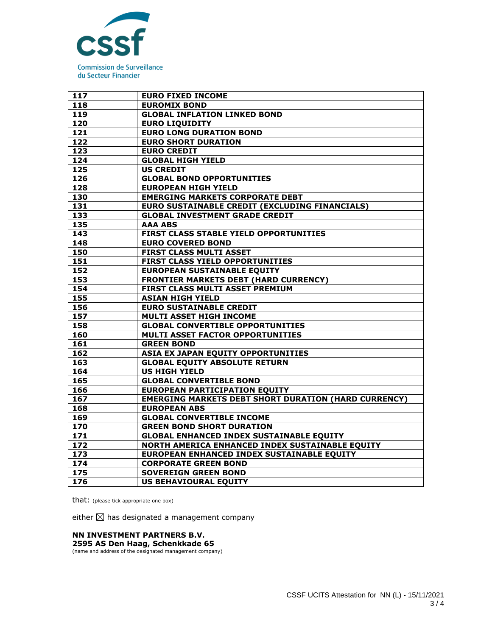

| 117 | <b>EURO FIXED INCOME</b>                                    |
|-----|-------------------------------------------------------------|
| 118 | <b>EUROMIX BOND</b>                                         |
| 119 | <b>GLOBAL INFLATION LINKED BOND</b>                         |
| 120 | <b>EURO LIQUIDITY</b>                                       |
| 121 | <b>EURO LONG DURATION BOND</b>                              |
| 122 | <b>EURO SHORT DURATION</b>                                  |
| 123 | <b>EURO CREDIT</b>                                          |
| 124 | <b>GLOBAL HIGH YIELD</b>                                    |
| 125 | <b>US CREDIT</b>                                            |
| 126 | <b>GLOBAL BOND OPPORTUNITIES</b>                            |
| 128 | <b>EUROPEAN HIGH YIELD</b>                                  |
| 130 | <b>EMERGING MARKETS CORPORATE DEBT</b>                      |
| 131 | EURO SUSTAINABLE CREDIT (EXCLUDING FINANCIALS)              |
| 133 | <b>GLOBAL INVESTMENT GRADE CREDIT</b>                       |
| 135 | <b>AAA ABS</b>                                              |
| 143 | FIRST CLASS STABLE YIELD OPPORTUNITIES                      |
| 148 | <b>EURO COVERED BOND</b>                                    |
| 150 | <b>FIRST CLASS MULTI ASSET</b>                              |
| 151 | FIRST CLASS YIELD OPPORTUNITIES                             |
| 152 | <b>EUROPEAN SUSTAINABLE EQUITY</b>                          |
| 153 | <b>FRONTIER MARKETS DEBT (HARD CURRENCY)</b>                |
| 154 | FIRST CLASS MULTI ASSET PREMIUM                             |
| 155 | <b>ASIAN HIGH YIELD</b>                                     |
| 156 | <b>EURO SUSTAINABLE CREDIT</b>                              |
| 157 | <b>MULTI ASSET HIGH INCOME</b>                              |
| 158 | <b>GLOBAL CONVERTIBLE OPPORTUNITIES</b>                     |
| 160 | <b>MULTI ASSET FACTOR OPPORTUNITIES</b>                     |
| 161 | <b>GREEN BOND</b>                                           |
| 162 | ASIA EX JAPAN EQUITY OPPORTUNITIES                          |
| 163 | <b>GLOBAL EQUITY ABSOLUTE RETURN</b>                        |
| 164 | <b>US HIGH YIELD</b>                                        |
| 165 | <b>GLOBAL CONVERTIBLE BOND</b>                              |
| 166 | <b>EUROPEAN PARTICIPATION EQUITY</b>                        |
| 167 | <b>EMERGING MARKETS DEBT SHORT DURATION (HARD CURRENCY)</b> |
| 168 | <b>EUROPEAN ABS</b>                                         |
| 169 | <b>GLOBAL CONVERTIBLE INCOME</b>                            |
| 170 | <b>GREEN BOND SHORT DURATION</b>                            |
| 171 | <b>GLOBAL ENHANCED INDEX SUSTAINABLE EQUITY</b>             |
| 172 | NORTH AMERICA ENHANCED INDEX SUSTAINABLE EQUITY             |
| 173 | EUROPEAN ENHANCED INDEX SUSTAINABLE EQUITY                  |
| 174 | <b>CORPORATE GREEN BOND</b>                                 |
| 175 | <b>SOVEREIGN GREEN BOND</b>                                 |
| 176 | <b>US BEHAVIOURAL EQUITY</b>                                |

that: (please tick appropriate one box)

either  $\boxtimes$  has designated a management company

## **NN INVESTMENT PARTNERS B.V.**

**2595 AS Den Haag, Schenkkade 65** (name and address of the designated management company)